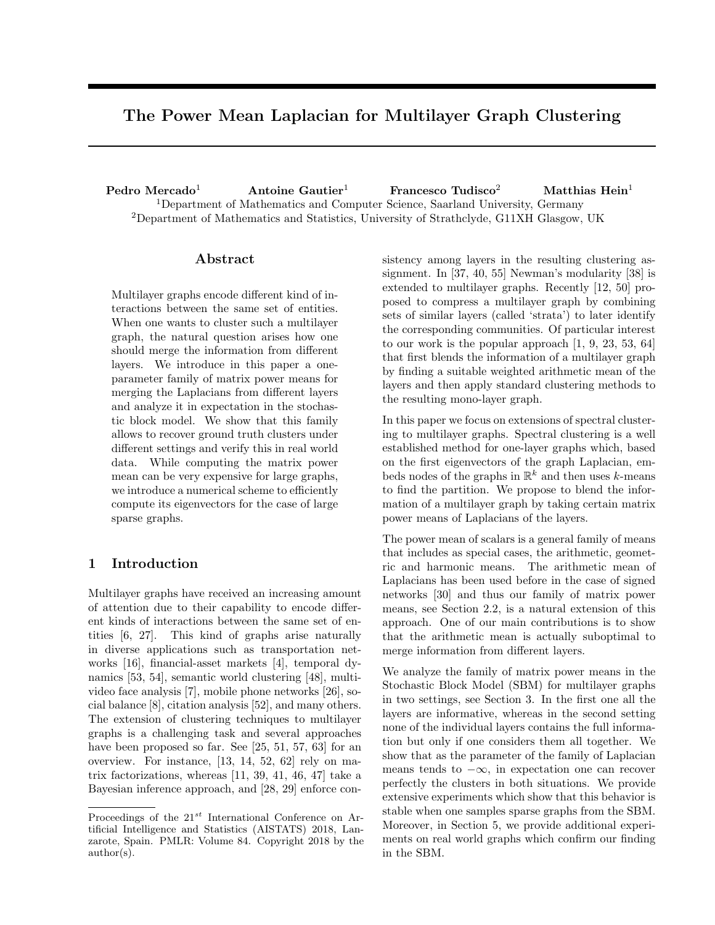# The Power Mean Laplacian for Multilayer Graph Clustering

Pedro Mercado<sup>1</sup> Antoine Gautier<sup>1</sup> Francesco Tudisco<sup>2</sup> Matthias Hein<sup>1</sup> <sup>1</sup>Department of Mathematics and Computer Science, Saarland University, Germany <sup>2</sup>Department of Mathematics and Statistics, University of Strathclyde, G11XH Glasgow, UK

#### Abstract

Multilayer graphs encode different kind of interactions between the same set of entities. When one wants to cluster such a multilayer graph, the natural question arises how one should merge the information from different layers. We introduce in this paper a oneparameter family of matrix power means for merging the Laplacians from different layers and analyze it in expectation in the stochastic block model. We show that this family allows to recover ground truth clusters under different settings and verify this in real world data. While computing the matrix power mean can be very expensive for large graphs, we introduce a numerical scheme to efficiently compute its eigenvectors for the case of large sparse graphs.

#### 1 Introduction

Multilayer graphs have received an increasing amount of attention due to their capability to encode different kinds of interactions between the same set of entities [6, 27]. This kind of graphs arise naturally in diverse applications such as transportation networks [16], financial-asset markets [4], temporal dynamics [53, 54], semantic world clustering [48], multivideo face analysis [7], mobile phone networks [26], social balance [8], citation analysis [52], and many others. The extension of clustering techniques to multilayer graphs is a challenging task and several approaches have been proposed so far. See [25, 51, 57, 63] for an overview. For instance, [13, 14, 52, 62] rely on matrix factorizations, whereas [11, 39, 41, 46, 47] take a Bayesian inference approach, and [28, 29] enforce consistency among layers in the resulting clustering assignment. In [37, 40, 55] Newman's modularity [38] is extended to multilayer graphs. Recently [12, 50] proposed to compress a multilayer graph by combining sets of similar layers (called 'strata') to later identify the corresponding communities. Of particular interest to our work is the popular approach [1, 9, 23, 53, 64] that first blends the information of a multilayer graph by finding a suitable weighted arithmetic mean of the layers and then apply standard clustering methods to the resulting mono-layer graph.

In this paper we focus on extensions of spectral clustering to multilayer graphs. Spectral clustering is a well established method for one-layer graphs which, based on the first eigenvectors of the graph Laplacian, embeds nodes of the graphs in  $\mathbb{R}^k$  and then uses k-means to find the partition. We propose to blend the information of a multilayer graph by taking certain matrix power means of Laplacians of the layers.

The power mean of scalars is a general family of means that includes as special cases, the arithmetic, geometric and harmonic means. The arithmetic mean of Laplacians has been used before in the case of signed networks [30] and thus our family of matrix power means, see Section 2.2, is a natural extension of this approach. One of our main contributions is to show that the arithmetic mean is actually suboptimal to merge information from different layers.

We analyze the family of matrix power means in the Stochastic Block Model (SBM) for multilayer graphs in two settings, see Section 3. In the first one all the layers are informative, whereas in the second setting none of the individual layers contains the full information but only if one considers them all together. We show that as the parameter of the family of Laplacian means tends to  $-\infty$ , in expectation one can recover perfectly the clusters in both situations. We provide extensive experiments which show that this behavior is stable when one samples sparse graphs from the SBM. Moreover, in Section 5, we provide additional experiments on real world graphs which confirm our finding in the SBM.

Proceedings of the  $21^{st}$  International Conference on Artificial Intelligence and Statistics (AISTATS) 2018, Lanzarote, Spain. PMLR: Volume 84. Copyright 2018 by the author(s).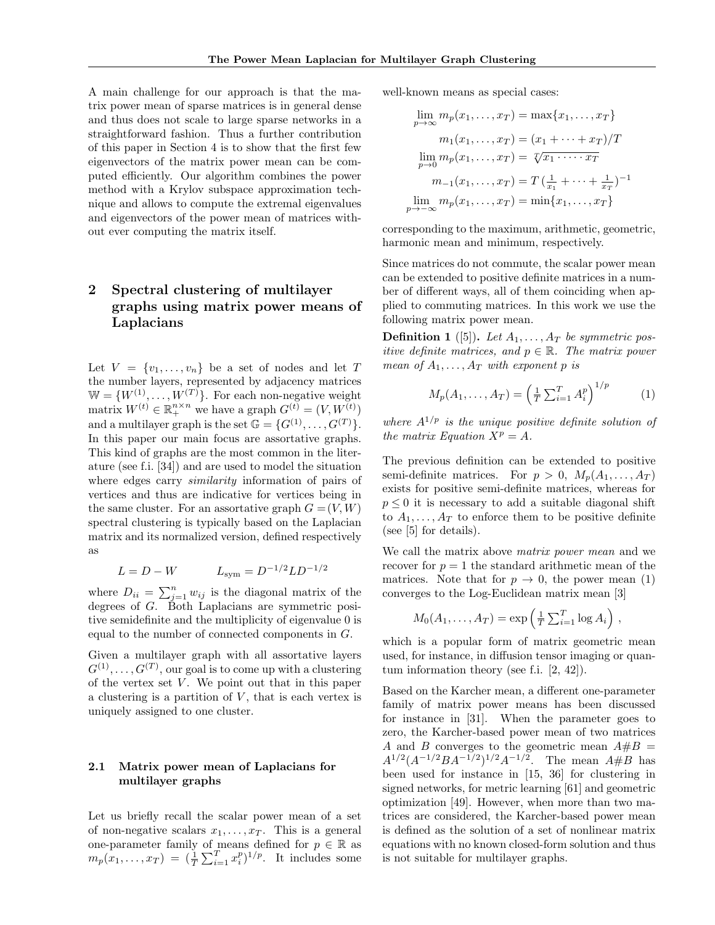A main challenge for our approach is that the matrix power mean of sparse matrices is in general dense and thus does not scale to large sparse networks in a straightforward fashion. Thus a further contribution of this paper in Section 4 is to show that the first few eigenvectors of the matrix power mean can be computed efficiently. Our algorithm combines the power method with a Krylov subspace approximation technique and allows to compute the extremal eigenvalues and eigenvectors of the power mean of matrices without ever computing the matrix itself.

## 2 Spectral clustering of multilayer graphs using matrix power means of Laplacians

Let  $V = \{v_1, \ldots, v_n\}$  be a set of nodes and let T the number layers, represented by adjacency matrices  $\mathbb{W} = \{W^{(1)}, \ldots, W^{(T)}\}.$  For each non-negative weight matrix  $W^{(t)} \in \mathbb{R}_+^{n \times n}$  we have a graph  $G^{(t)} = (V, W^{(t)})$ and a multilayer graph is the set  $\mathbb{G} = \{G^{(1)}, \ldots, G^{(T)}\}.$ In this paper our main focus are assortative graphs. This kind of graphs are the most common in the literature (see f.i. [34]) and are used to model the situation where edges carry *similarity* information of pairs of vertices and thus are indicative for vertices being in the same cluster. For an assortative graph  $G = (V, W)$ spectral clustering is typically based on the Laplacian matrix and its normalized version, defined respectively as

$$
L = D - W \qquad L_{\text{sym}} = D^{-1/2} L D^{-1/2}
$$

where  $D_{ii} = \sum_{j=1}^{n} w_{ij}$  is the diagonal matrix of the degrees of  $G$ . Both Laplacians are symmetric positive semidefinite and the multiplicity of eigenvalue 0 is equal to the number of connected components in G.

Given a multilayer graph with all assortative layers  $G^{(1)}, \ldots, G^{(T)}$ , our goal is to come up with a clustering of the vertex set  $V$ . We point out that in this paper a clustering is a partition of  $V$ , that is each vertex is uniquely assigned to one cluster.

#### 2.1 Matrix power mean of Laplacians for multilayer graphs

Let us briefly recall the scalar power mean of a set of non-negative scalars  $x_1, \ldots, x_T$ . This is a general one-parameter family of means defined for  $p \in \mathbb{R}$  as  $m_p(x_1,\ldots,x_T) = (\frac{1}{T}\sum_{i=1}^T x_i^p)^{1/p}$ . It includes some

well-known means as special cases:

$$
\lim_{p \to \infty} m_p(x_1, ..., x_T) = \max\{x_1, ..., x_T\}
$$

$$
m_1(x_1, ..., x_T) = (x_1 + \dots + x_T)/T
$$

$$
\lim_{p \to 0} m_p(x_1, ..., x_T) = \sqrt[T]{x_1 \cdot \dots \cdot x_T}
$$

$$
m_{-1}(x_1, ..., x_T) = T(\frac{1}{x_1} + \dots + \frac{1}{x_T})^{-1}
$$

$$
\lim_{p \to -\infty} m_p(x_1, ..., x_T) = \min\{x_1, ..., x_T\}
$$

corresponding to the maximum, arithmetic, geometric, harmonic mean and minimum, respectively.

Since matrices do not commute, the scalar power mean can be extended to positive definite matrices in a number of different ways, all of them coinciding when applied to commuting matrices. In this work we use the following matrix power mean.

**Definition 1** ([5]). Let  $A_1, \ldots, A_T$  be symmetric positive definite matrices, and  $p \in \mathbb{R}$ . The matrix power mean of  $A_1, \ldots, A_T$  with exponent p is

$$
M_p(A_1, ..., A_T) = \left(\frac{1}{T} \sum_{i=1}^T A_i^p\right)^{1/p} \tag{1}
$$

where  $A^{1/p}$  is the unique positive definite solution of the matrix Equation  $X^p = A$ .

The previous definition can be extended to positive semi-definite matrices. For  $p > 0$ ,  $M_p(A_1, \ldots, A_T)$ exists for positive semi-definite matrices, whereas for  $p \leq 0$  it is necessary to add a suitable diagonal shift to  $A_1, \ldots, A_T$  to enforce them to be positive definite (see [5] for details).

We call the matrix above matrix power mean and we recover for  $p = 1$  the standard arithmetic mean of the matrices. Note that for  $p \to 0$ , the power mean (1) converges to the Log-Euclidean matrix mean [3]

$$
M_0(A_1,\ldots,A_T)=\exp\left(\frac{1}{T}\sum_{i=1}^T\log A_i\right),\,
$$

which is a popular form of matrix geometric mean used, for instance, in diffusion tensor imaging or quantum information theory (see f.i. [2, 42]).

Based on the Karcher mean, a different one-parameter family of matrix power means has been discussed for instance in [31]. When the parameter goes to zero, the Karcher-based power mean of two matrices A and B converges to the geometric mean  $A#B =$  $A^{1/2}(A^{-1/2}BA^{-1/2})^{1/2}A^{-1/2}$ . The mean  $A#B$  has been used for instance in [15, 36] for clustering in signed networks, for metric learning [61] and geometric optimization [49]. However, when more than two matrices are considered, the Karcher-based power mean is defined as the solution of a set of nonlinear matrix equations with no known closed-form solution and thus is not suitable for multilayer graphs.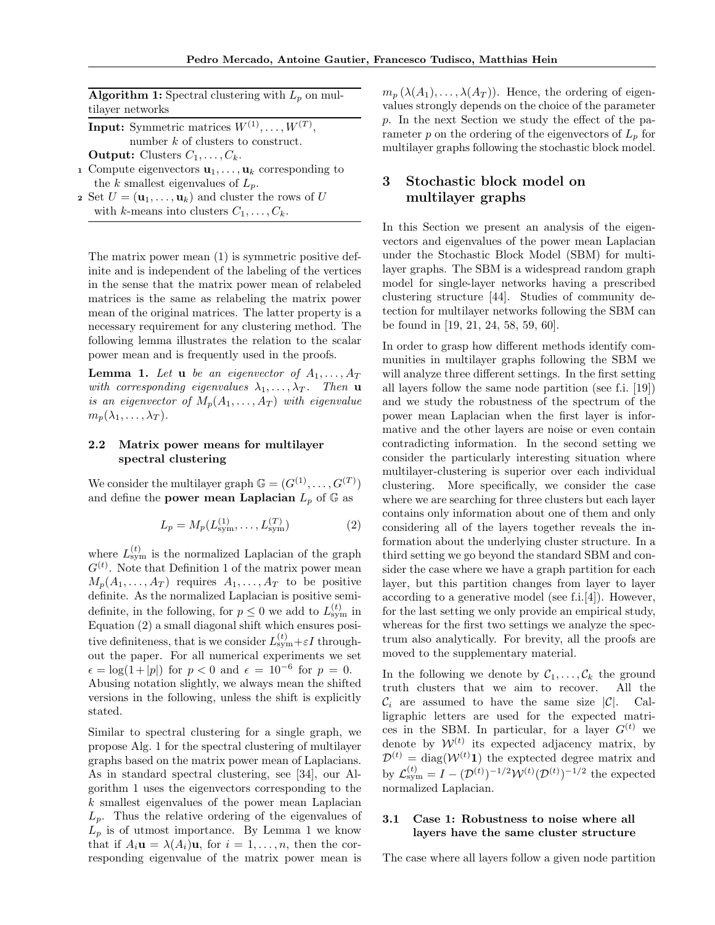|                  |  | <b>Algorithm 1:</b> Spectral clustering with $L_p$ on mul- |  |  |
|------------------|--|------------------------------------------------------------|--|--|
| tilayer networks |  |                                                            |  |  |

**Input:** Symmetric matrices  $W^{(1)}, \ldots, W^{(T)}$ , number  $k$  of clusters to construct.

**Output:** Clusters  $C_1, \ldots, C_k$ .

- 1 Compute eigenvectors  $\mathbf{u}_1, \ldots, \mathbf{u}_k$  corresponding to the k smallest eigenvalues of  $L_n$ .
- 2 Set  $U = (\mathbf{u}_1, \dots, \mathbf{u}_k)$  and cluster the rows of U with k-means into clusters  $C_1, \ldots, C_k$ .

The matrix power mean (1) is symmetric positive definite and is independent of the labeling of the vertices in the sense that the matrix power mean of relabeled matrices is the same as relabeling the matrix power mean of the original matrices. The latter property is a necessary requirement for any clustering method. The following lemma illustrates the relation to the scalar power mean and is frequently used in the proofs.

**Lemma 1.** Let **u** be an eigenvector of  $A_1, \ldots, A_T$ with corresponding eigenvalues  $\lambda_1, \ldots, \lambda_T$ . Then **u** is an eigenvector of  $M_p(A_1, \ldots, A_T)$  with eigenvalue  $m_p(\lambda_1,\ldots,\lambda_T)$ .

#### 2.2 Matrix power means for multilayer spectral clustering

We consider the multilayer graph  $\mathbb{G} = (G^{(1)}, \ldots, G^{(T)})$ and define the **power mean Laplacian**  $L_p$  of  $\mathbb{G}$  as

$$
L_p = M_p(L_{sym}^{(1)}, \dots, L_{sym}^{(T)})
$$
 (2)

where  $L_{sym}^{(t)}$  is the normalized Laplacian of the graph  $G<sup>(t)</sup>$ . Note that Definition 1 of the matrix power mean  $M_p(A_1,\ldots,A_T)$  requires  $A_1,\ldots,A_T$  to be positive definite. As the normalized Laplacian is positive semidefinite, in the following, for  $p \leq 0$  we add to  $L_{sym}^{(t)}$  in Equation (2) a small diagonal shift which ensures positive definiteness, that is we consider  $L_{sym}^{(t)} + \varepsilon I$  throughout the paper. For all numerical experiments we set  $\epsilon = \log(1+|p|)$  for  $p < 0$  and  $\epsilon = 10^{-6}$  for  $p = 0$ . Abusing notation slightly, we always mean the shifted versions in the following, unless the shift is explicitly stated.

Similar to spectral clustering for a single graph, we propose Alg. 1 for the spectral clustering of multilayer graphs based on the matrix power mean of Laplacians. As in standard spectral clustering, see [34], our Algorithm 1 uses the eigenvectors corresponding to the  $k$  smallest eigenvalues of the power mean Laplacian  $L_p$ . Thus the relative ordering of the eigenvalues of  $L_p$  is of utmost importance. By Lemma 1 we know that if  $A_i \mathbf{u} = \lambda(A_i) \mathbf{u}$ , for  $i = 1, \ldots, n$ , then the corresponding eigenvalue of the matrix power mean is

 $m_p(\lambda(A_1), \ldots, \lambda(A_T)).$  Hence, the ordering of eigenvalues strongly depends on the choice of the parameter p. In the next Section we study the effect of the parameter p on the ordering of the eigenvectors of  $L_p$  for multilayer graphs following the stochastic block model.

### 3 Stochastic block model on multilayer graphs

In this Section we present an analysis of the eigenvectors and eigenvalues of the power mean Laplacian under the Stochastic Block Model (SBM) for multilayer graphs. The SBM is a widespread random graph model for single-layer networks having a prescribed clustering structure [44]. Studies of community detection for multilayer networks following the SBM can be found in [19, 21, 24, 58, 59, 60].

In order to grasp how different methods identify communities in multilayer graphs following the SBM we will analyze three different settings. In the first setting all layers follow the same node partition (see f.i. [19]) and we study the robustness of the spectrum of the power mean Laplacian when the first layer is informative and the other layers are noise or even contain contradicting information. In the second setting we consider the particularly interesting situation where multilayer-clustering is superior over each individual clustering. More specifically, we consider the case where we are searching for three clusters but each layer contains only information about one of them and only considering all of the layers together reveals the information about the underlying cluster structure. In a third setting we go beyond the standard SBM and consider the case where we have a graph partition for each layer, but this partition changes from layer to layer according to a generative model (see f.i.[4]). However, for the last setting we only provide an empirical study, whereas for the first two settings we analyze the spectrum also analytically. For brevity, all the proofs are moved to the supplementary material.

In the following we denote by  $C_1, \ldots, C_k$  the ground truth clusters that we aim to recover. All the  $\mathcal{C}_i$  are assumed to have the same size  $|\mathcal{C}|$ . Calligraphic letters are used for the expected matrices in the SBM. In particular, for a layer  $G^{(t)}$  we denote by  $\mathcal{W}^{(t)}$  its expected adjacency matrix, by  $\mathcal{D}^{(t)} = \text{diag}(\mathcal{W}^{(t)}\mathbf{1})$  the exptected degree matrix and by  $\mathcal{L}_{sym}^{(t)} = I - (\mathcal{D}^{(t)})^{-1/2} \mathcal{W}^{(t)} (\mathcal{D}^{(t)})^{-1/2}$  the expected normalized Laplacian.

#### 3.1 Case 1: Robustness to noise where all layers have the same cluster structure

The case where all layers follow a given node partition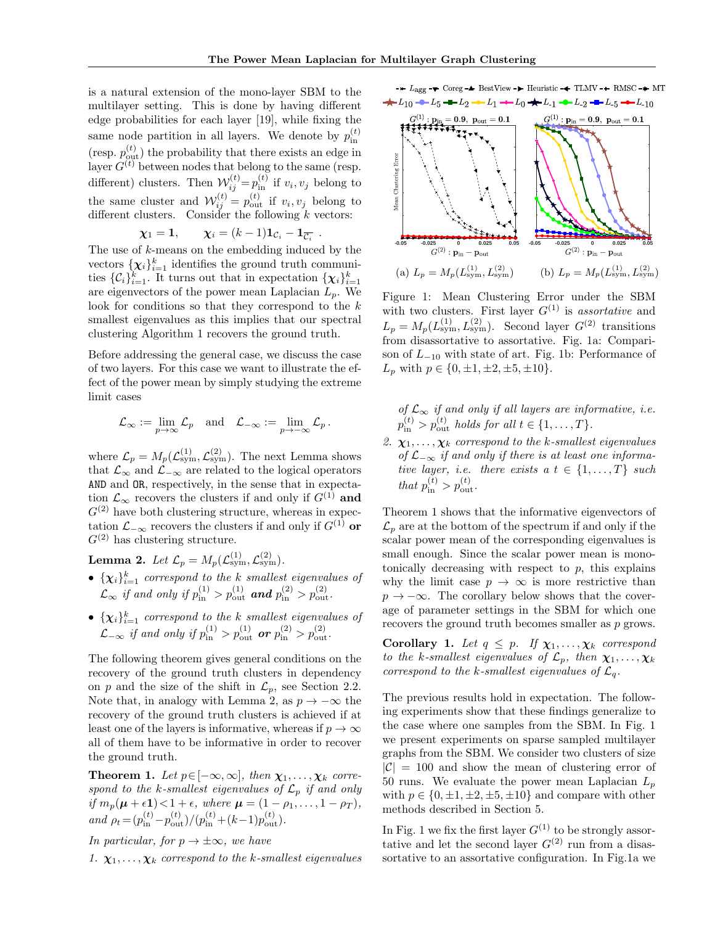is a natural extension of the mono-layer SBM to the multilayer setting. This is done by having different edge probabilities for each layer [19], while fixing the same node partition in all layers. We denote by  $p_{\text{in}}^{(t)}$ in (resp.  $p_{\text{out}}^{(t)}$ ) the probability that there exists an edge in layer  $G^{(t)}$  between nodes that belong to the same (resp. different) clusters. Then  $\mathcal{W}_{ij}^{(t)} = p_{\text{in}}^{(t)}$  if  $v_i, v_j$  belong to the same cluster and  $\mathcal{W}_{ij}^{(t)} = p_{\text{out}}^{(t)}$  if  $v_i, v_j$  belong to different clusters. Consider the following  $k$  vectors:

$$
\chi_1 = 1, \qquad \chi_i = (k-1) \mathbf{1}_{\mathcal{C}_i} - \mathbf{1}_{\overline{\mathcal{C}_i}}.
$$

The use of k-means on the embedding induced by the vectors  $\{\chi_i\}_{i=1}^k$  identifies the ground truth communities  $\{\mathcal{C}_i\}_{i=1}^k$ . It turns out that in expectation  $\{\chi_i\}_{i=1}^k$ are eigenvectors of the power mean Laplacian  $L_p$ . We look for conditions so that they correspond to the  $k$ smallest eigenvalues as this implies that our spectral clustering Algorithm 1 recovers the ground truth.

Before addressing the general case, we discuss the case of two layers. For this case we want to illustrate the effect of the power mean by simply studying the extreme limit cases

$$
\mathcal{L}_{\infty} := \lim_{p \to \infty} \mathcal{L}_p \quad \text{and} \quad \mathcal{L}_{-\infty} := \lim_{p \to -\infty} \mathcal{L}_p \,.
$$

where  $\mathcal{L}_p = M_p(\mathcal{L}_{sym}^{(1)}, \mathcal{L}_{sym}^{(2)})$ . The next Lemma shows that  $\mathcal{L}_{\infty}$  and  $\mathcal{L}_{-\infty}$  are related to the logical operators AND and OR, respectively, in the sense that in expectation  $\mathcal{L}_{\infty}$  recovers the clusters if and only if  $G^{(1)}$  and  $G<sup>(2)</sup>$  have both clustering structure, whereas in expectation  $\mathcal{L}_{-\infty}$  recovers the clusters if and only if  $G^{(1)}$  or  $G^{(2)}$  has clustering structure.

Lemma 2. Let  $\mathcal{L}_p = M_p(\mathcal{L}^{(1)}_{\mathrm{sym}}, \mathcal{L}^{(2)}_{\mathrm{sym}})$ .

- $\{\chi_i\}_{i=1}^k$  correspond to the k smallest eigenvalues of  $\mathcal{L}_{\infty}$  if and only if  $p_{\text{in}}^{(1)} > p_{\text{out}}^{(1)}$  and  $p_{\text{in}}^{(2)} > p_{\text{out}}^{(2)}$ .
- $\{\chi_i\}_{i=1}^k$  correspond to the k smallest eigenvalues of  $\mathcal{L}_{-\infty}$  if and only if  $p_{\text{in}}^{(1)} > p_{\text{out}}^{(1)}$  or  $p_{\text{in}}^{(2)} > p_{\text{out}}^{(2)}$ .

The following theorem gives general conditions on the recovery of the ground truth clusters in dependency on p and the size of the shift in  $\mathcal{L}_p$ , see Section 2.2. Note that, in analogy with Lemma 2, as  $p \to -\infty$  the recovery of the ground truth clusters is achieved if at least one of the layers is informative, whereas if  $p \to \infty$ all of them have to be informative in order to recover the ground truth.

**Theorem 1.** Let  $p \in [-\infty, \infty]$ , then  $\chi_1, \ldots, \chi_k$  correspond to the k-smallest eigenvalues of  $\mathcal{L}_p$  if and only if  $m_p(\mu + \epsilon \mathbf{1}) < 1 + \epsilon$ , where  $\mu = (1 - \rho_1, \ldots, 1 - \rho_T)$ , and  $\rho_t = (p_{\text{in}}^{(t)} - p_{\text{out}}^{(t)})/(p_{\text{in}}^{(t)} + (k-1)p_{\text{out}}^{(t)})$ .



1.  $\chi_1, \ldots, \chi_k$  correspond to the k-smallest eigenvalues





Figure 1: Mean Clustering Error under the SBM with two clusters. First layer  $G^{(1)}$  is assortative and  $L_p = M_p(L_{sym}^{(1)}, L_{sym}^{(2)})$ . Second layer  $G^{(2)}$  transitions from disassortative to assortative. Fig. 1a: Comparison of  $L_{-10}$  with state of art. Fig. 1b: Performance of  $L_p$  with  $p \in \{0, \pm 1, \pm 2, \pm 5, \pm 10\}.$ 

of  $\mathcal{L}_{\infty}$  if and only if all layers are informative, i.e.  $p_{\text{in}}^{(t)} > p_{\text{out}}^{(t)}$  holds for all  $t \in \{1, \ldots, T\}$ .

2.  $\chi_1, \ldots, \chi_k$  correspond to the k-smallest eigenvalues of  $\mathcal{L}_{-\infty}$  if and only if there is at least one informative layer, i.e. there exists a  $t \in \{1, \ldots, T\}$  such that  $p_{\text{in}}^{(t)} > p_{\text{out}}^{(t)}$ .

Theorem 1 shows that the informative eigenvectors of  $\mathcal{L}_p$  are at the bottom of the spectrum if and only if the scalar power mean of the corresponding eigenvalues is small enough. Since the scalar power mean is monotonically decreasing with respect to  $p$ , this explains why the limit case  $p \to \infty$  is more restrictive than  $p \rightarrow -\infty$ . The corollary below shows that the coverage of parameter settings in the SBM for which one recovers the ground truth becomes smaller as p grows.

**Corollary 1.** Let  $q \leq p$ . If  $\chi_1, \ldots, \chi_k$  correspond to the k-smallest eigenvalues of  $\mathcal{L}_p$ , then  $\chi_1, \ldots, \chi_k$ correspond to the k-smallest eigenvalues of  $\mathcal{L}_q$ .

The previous results hold in expectation. The following experiments show that these findings generalize to the case where one samples from the SBM. In Fig. 1 we present experiments on sparse sampled multilayer graphs from the SBM. We consider two clusters of size  $|\mathcal{C}| = 100$  and show the mean of clustering error of 50 runs. We evaluate the power mean Laplacian  $L_n$ with  $p \in \{0, \pm 1, \pm 2, \pm 5, \pm 10\}$  and compare with other methods described in Section 5.

In Fig. 1 we fix the first layer  $G^{(1)}$  to be strongly assortative and let the second layer  $G^{(2)}$  run from a disassortative to an assortative configuration. In Fig.1a we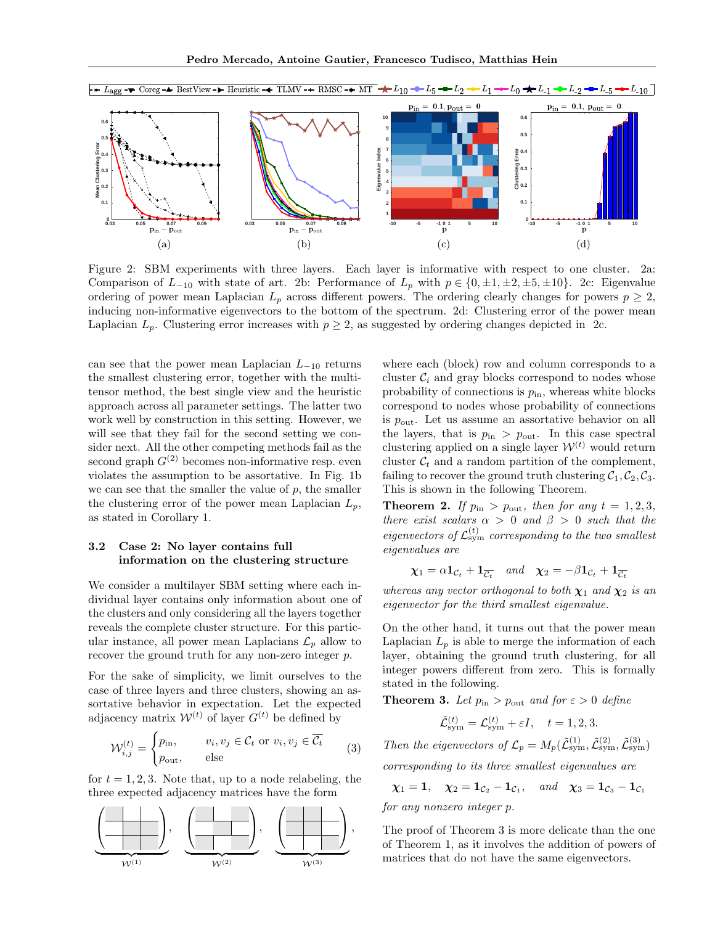

Figure 2: SBM experiments with three layers. Each layer is informative with respect to one cluster. 2a: Comparison of  $L_{-10}$  with state of art. 2b: Performance of  $L_p$  with  $p \in \{0, \pm 1, \pm 2, \pm 5, \pm 10\}$ . 2c: Eigenvalue ordering of power mean Laplacian  $L_p$  across different powers. The ordering clearly changes for powers  $p \geq 2$ , inducing non-informative eigenvectors to the bottom of the spectrum. 2d: Clustering error of the power mean Laplacian  $L_p$ . Clustering error increases with  $p \geq 2$ , as suggested by ordering changes depicted in 2c.

can see that the power mean Laplacian  $L_{-10}$  returns the smallest clustering error, together with the multitensor method, the best single view and the heuristic approach across all parameter settings. The latter two work well by construction in this setting. However, we will see that they fail for the second setting we consider next. All the other competing methods fail as the second graph  $G^{(2)}$  becomes non-informative resp. even violates the assumption to be assortative. In Fig. 1b we can see that the smaller the value of  $p$ , the smaller the clustering error of the power mean Laplacian  $L_p$ , as stated in Corollary 1.

#### 3.2 Case 2: No layer contains full information on the clustering structure

We consider a multilayer SBM setting where each individual layer contains only information about one of the clusters and only considering all the layers together reveals the complete cluster structure. For this particular instance, all power mean Laplacians  $\mathcal{L}_p$  allow to recover the ground truth for any non-zero integer p.

For the sake of simplicity, we limit ourselves to the case of three layers and three clusters, showing an assortative behavior in expectation. Let the expected adjacency matrix  $W^{(t)}$  of layer  $G^{(t)}$  be defined by

$$
\mathcal{W}_{i,j}^{(t)} = \begin{cases} p_{\text{in}}, & v_i, v_j \in \mathcal{C}_t \text{ or } v_i, v_j \in \overline{\mathcal{C}_t} \\ p_{\text{out}}, & \text{else} \end{cases}
$$
(3)

for  $t = 1, 2, 3$ . Note that, up to a node relabeling, the three expected adjacency matrices have the form



where each (block) row and column corresponds to a cluster  $C_i$  and gray blocks correspond to nodes whose probability of connections is  $p_{\text{in}}$ , whereas white blocks correspond to nodes whose probability of connections is  $p_{\text{out}}$ . Let us assume an assortative behavior on all the layers, that is  $p_{\text{in}} > p_{\text{out}}$ . In this case spectral clustering applied on a single layer  $\mathcal{W}^{(t)}$  would return cluster  $C_t$  and a random partition of the complement, failing to recover the ground truth clustering  $C_1, C_2, C_3$ . This is shown in the following Theorem.

**Theorem 2.** If  $p_{\text{in}} > p_{\text{out}}$ , then for any  $t = 1, 2, 3$ , there exist scalars  $\alpha > 0$  and  $\beta > 0$  such that the eigenvectors of  $\mathcal{L}^{(t)}_{sym}$  corresponding to the two smallest eigenvalues are

$$
\chi_1 = \alpha \mathbf{1}_{\mathcal{C}_t} + \mathbf{1}_{\overline{\mathcal{C}_t}} \quad \text{and} \quad \chi_2 = -\beta \mathbf{1}_{\mathcal{C}_t} + \mathbf{1}_{\overline{\mathcal{C}_t}}
$$

whereas any vector orthogonal to both  $\chi_1$  and  $\chi_2$  is an eigenvector for the third smallest eigenvalue.

On the other hand, it turns out that the power mean Laplacian  $L_p$  is able to merge the information of each layer, obtaining the ground truth clustering, for all integer powers different from zero. This is formally stated in the following.

**Theorem 3.** Let  $p_{\text{in}} > p_{\text{out}}$  and for  $\varepsilon > 0$  define

$$
\tilde{\mathcal{L}}_{sym}^{(t)} = \mathcal{L}_{sym}^{(t)} + \varepsilon I, \quad t = 1, 2, 3.
$$

Then the eigenvectors of  $\mathcal{L}_p = M_p(\tilde{\mathcal{L}}_{sym}^{(1)}, \tilde{\mathcal{L}}_{sym}^{(2)}, \tilde{\mathcal{L}}_{sym}^{(3)})$ 

corresponding to its three smallest eigenvalues are

$$
\chi_1 = 1
$$
,  $\chi_2 = 1_{C_2} - 1_{C_1}$ , and  $\chi_3 = 1_{C_3} - 1_{C_1}$ 

for any nonzero integer p.

The proof of Theorem 3 is more delicate than the one of Theorem 1, as it involves the addition of powers of matrices that do not have the same eigenvectors.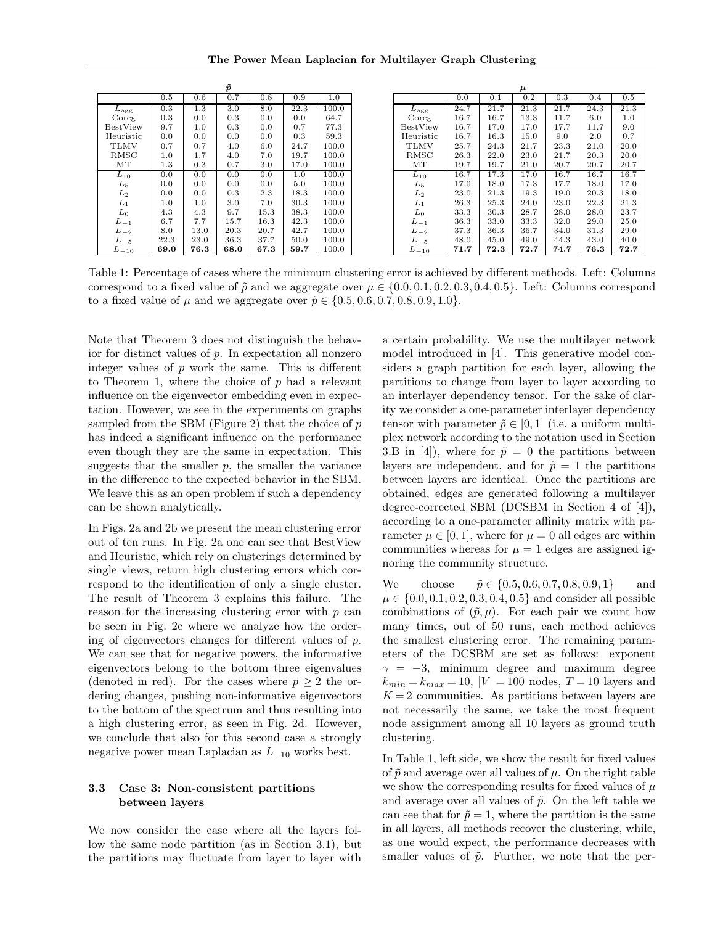The Power Mean Laplacian for Multilayer Graph Clustering

|                 |      |      | $\tilde{p}$ |      |      |       |
|-----------------|------|------|-------------|------|------|-------|
|                 | 0.5  | 0.6  | 0.7         | 0.8  | 0.9  | 1.0   |
| $L_{\rm agg}$   | 0.3  | 1.3  | 3.0         | 8.0  | 22.3 | 100.0 |
| Coreg           | 0.3  | 0.0  | 0.3         | 0.0  | 0.0  | 64.7  |
| <b>BestView</b> | 9.7  | 1.0  | 0.3         | 0.0  | 0.7  | 77.3  |
| Heuristic       | 0.0  | 0.0  | 0.0         | 0.0  | 0.3  | 59.3  |
| TLMV            | 0.7  | 0.7  | 4.0         | 6.0  | 24.7 | 100.0 |
| RMSC            | 1.0  | 1.7  | 4.0         | 7.0  | 19.7 | 100.0 |
| МT              | 1.3  | 0.3  | 0.7         | 3.0  | 17.0 | 100.0 |
| $L_{10}$        | 0.0  | 0.0  | 0.0         | 0.0  | 1.0  | 100.0 |
| $L_5$           | 0.0  | 0.0  | 0.0         | 0.0  | 5.0  | 100.0 |
| L <sub>2</sub>  | 0.0  | 0.0  | 0.3         | 2.3  | 18.3 | 100.0 |
| $L_1$           | 1.0  | 1.0  | 3.0         | 7.0  | 30.3 | 100.0 |
| $L_0$           | 4.3  | 4.3  | 9.7         | 15.3 | 38.3 | 100.0 |
| $L_{-1}$        | 6.7  | 7.7  | 15.7        | 16.3 | 42.3 | 100.0 |
| $L_{-2}$        | 8.0  | 13.0 | 20.3        | 20.7 | 42.7 | 100.0 |
| $L_{-5}$        | 22.3 | 23.0 | 36.3        | 37.7 | 50.0 | 100.0 |
| $L_{-10}$       | 69.0 | 76.3 | 68.0        | 67.3 | 59.7 | 100.0 |

|                |      |      | $\boldsymbol{\mu}$ |      |      |      |
|----------------|------|------|--------------------|------|------|------|
|                | 0.0  | 0.1  | 0.2                | 0.3  | 0.4  | 0.5  |
| $L_{\rm agg}$  | 24.7 | 21.7 | 21.3               | 21.7 | 24.3 | 21.3 |
| Coreg          | 16.7 | 16.7 | 13.3               | 11.7 | 6.0  | 1.0  |
| BestView       | 16.7 | 17.0 | 17.0               | 17.7 | 11.7 | 9.0  |
| Heuristic      | 16.7 | 16.3 | 15.0               | 9.0  | 2.0  | 0.7  |
| <b>TLMV</b>    | 25.7 | 24.3 | 21.7               | 23.3 | 21.0 | 20.0 |
| RMSC           | 26.3 | 22.0 | 23.0               | 21.7 | 20.3 | 20.0 |
| MТ             | 19.7 | 19.7 | 21.0               | 20.7 | 20.7 | 20.7 |
| $L_{10}$       | 16.7 | 17.3 | 17.0               | 16.7 | 16.7 | 16.7 |
| $L_5$          | 17.0 | 18.0 | 17.3               | 17.7 | 18.0 | 17.0 |
| L <sub>2</sub> | 23.0 | 21.3 | 19.3               | 19.0 | 20.3 | 18.0 |
| $L_1$          | 26.3 | 25.3 | 24.0               | 23.0 | 22.3 | 21.3 |
| $L_0$          | 33.3 | 30.3 | 28.7               | 28.0 | 28.0 | 23.7 |
| $L_{-1}$       | 36.3 | 33.0 | 33.3               | 32.0 | 29.0 | 25.0 |
| $L_{-2}$       | 37.3 | 36.3 | 36.7               | 34.0 | 31.3 | 29.0 |
| $L_{-5}$       | 48.0 | 45.0 | 49.0               | 44.3 | 43.0 | 40.0 |
| $L_{-10}$      | 71.7 | 72.3 | 72.7               | 74.7 | 76.3 | 72.7 |

Table 1: Percentage of cases where the minimum clustering error is achieved by different methods. Left: Columns correspond to a fixed value of  $\tilde{p}$  and we aggregate over  $\mu \in \{0.0, 0.1, 0.2, 0.3, 0.4, 0.5\}$ . Left: Columns correspond to a fixed value of  $\mu$  and we aggregate over  $\tilde{p} \in \{0.5, 0.6, 0.7, 0.8, 0.9, 1.0\}.$ 

Note that Theorem 3 does not distinguish the behavior for distinct values of  $p$ . In expectation all nonzero integer values of  $p$  work the same. This is different to Theorem 1, where the choice of  $p$  had a relevant influence on the eigenvector embedding even in expectation. However, we see in the experiments on graphs sampled from the SBM (Figure 2) that the choice of  $p$ has indeed a significant influence on the performance even though they are the same in expectation. This suggests that the smaller  $p$ , the smaller the variance in the difference to the expected behavior in the SBM. We leave this as an open problem if such a dependency can be shown analytically.

In Figs. 2a and 2b we present the mean clustering error out of ten runs. In Fig. 2a one can see that BestView and Heuristic, which rely on clusterings determined by single views, return high clustering errors which correspond to the identification of only a single cluster. The result of Theorem 3 explains this failure. The reason for the increasing clustering error with p can be seen in Fig. 2c where we analyze how the ordering of eigenvectors changes for different values of p. We can see that for negative powers, the informative eigenvectors belong to the bottom three eigenvalues (denoted in red). For the cases where  $p \geq 2$  the ordering changes, pushing non-informative eigenvectors to the bottom of the spectrum and thus resulting into a high clustering error, as seen in Fig. 2d. However, we conclude that also for this second case a strongly negative power mean Laplacian as L<sup>−</sup><sup>10</sup> works best.

#### 3.3 Case 3: Non-consistent partitions between layers

We now consider the case where all the layers follow the same node partition (as in Section 3.1), but the partitions may fluctuate from layer to layer with a certain probability. We use the multilayer network model introduced in [4]. This generative model considers a graph partition for each layer, allowing the partitions to change from layer to layer according to an interlayer dependency tensor. For the sake of clarity we consider a one-parameter interlayer dependency tensor with parameter  $\tilde{p} \in [0, 1]$  (i.e. a uniform multiplex network according to the notation used in Section 3.B in [4]), where for  $\tilde{p} = 0$  the partitions between layers are independent, and for  $\tilde{p} = 1$  the partitions between layers are identical. Once the partitions are obtained, edges are generated following a multilayer degree-corrected SBM (DCSBM in Section 4 of [4]), according to a one-parameter affinity matrix with parameter  $\mu \in [0, 1]$ , where for  $\mu = 0$  all edges are within communities whereas for  $\mu = 1$  edges are assigned ignoring the community structure.

We choose  $\tilde{p} \in \{0.5, 0.6, 0.7, 0.8, 0.9, 1\}$  and  $\mu \in \{0.0, 0.1, 0.2, 0.3, 0.4, 0.5\}$  and consider all possible combinations of  $(\tilde{p}, \mu)$ . For each pair we count how many times, out of 50 runs, each method achieves the smallest clustering error. The remaining parameters of the DCSBM are set as follows: exponent  $\gamma = -3$ , minimum degree and maximum degree  $k_{min} = k_{max} = 10, |V| = 100 \text{ nodes}, T = 10 \text{ layers and}$  $K = 2$  communities. As partitions between layers are not necessarily the same, we take the most frequent node assignment among all 10 layers as ground truth clustering.

In Table 1, left side, we show the result for fixed values of  $\tilde{p}$  and average over all values of  $\mu$ . On the right table we show the corresponding results for fixed values of  $\mu$ and average over all values of  $\tilde{p}$ . On the left table we can see that for  $\tilde{p} = 1$ , where the partition is the same in all layers, all methods recover the clustering, while, as one would expect, the performance decreases with smaller values of  $\tilde{p}$ . Further, we note that the per-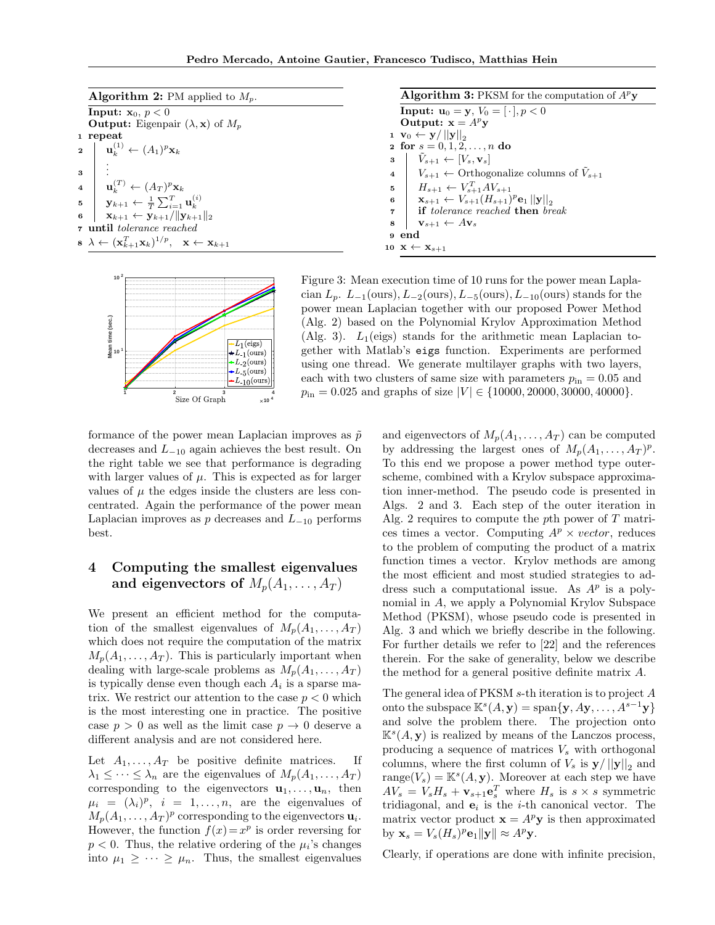| <b>Algorithm 2:</b> PM applied to $M_p$ .                                                                                                                                                                                        |  |  |  |  |  |  |  |
|----------------------------------------------------------------------------------------------------------------------------------------------------------------------------------------------------------------------------------|--|--|--|--|--|--|--|
| Input: $\mathbf{x}_0, p < 0$                                                                                                                                                                                                     |  |  |  |  |  |  |  |
| <b>Output:</b> Eigenpair $(\lambda, \mathbf{x})$ of $M_p$                                                                                                                                                                        |  |  |  |  |  |  |  |
| 1 repeat                                                                                                                                                                                                                         |  |  |  |  |  |  |  |
| <b>2</b> $\mathbf{u}_k^{(1)} \leftarrow (A_1)^p \mathbf{x}_k$                                                                                                                                                                    |  |  |  |  |  |  |  |
| 3<br>4<br>$\mathbf{u}_k^{(T)} \leftarrow (A_T)^p \mathbf{x}_k$<br>5<br>$\mathbf{y}_{k+1} \leftarrow \frac{1}{T} \sum_{i=1}^T \mathbf{u}_k^{(i)}$<br>6<br>$\mathbf{x}_{k+1} \leftarrow \mathbf{y}_{k+1} /   \mathbf{y}_{k+1}  _2$ |  |  |  |  |  |  |  |
|                                                                                                                                                                                                                                  |  |  |  |  |  |  |  |
|                                                                                                                                                                                                                                  |  |  |  |  |  |  |  |
|                                                                                                                                                                                                                                  |  |  |  |  |  |  |  |
| <b>7</b> until tolerance reached                                                                                                                                                                                                 |  |  |  |  |  |  |  |
| $\mathbf{s} \ \lambda \leftarrow (\mathbf{x}_{k+1}^T \mathbf{x}_k)^{1/p}, \ \ \mathbf{x} \leftarrow \mathbf{x}_{k+1}$                                                                                                            |  |  |  |  |  |  |  |





Figure 3: Mean execution time of 10 runs for the power mean Laplacian  $L_p$ .  $L_{-1}(\text{ours}), L_{-2}(\text{ours}), L_{-5}(\text{ours}), L_{-10}(\text{ours})$  stands for the power mean Laplacian together with our proposed Power Method (Alg. 2) based on the Polynomial Krylov Approximation Method (Alg. 3).  $L_1$ (eigs) stands for the arithmetic mean Laplacian together with Matlab's eigs function. Experiments are performed using one thread. We generate multilayer graphs with two layers, each with two clusters of same size with parameters  $p_{\text{in}} = 0.05$  and  $p_{\text{in}} = 0.025$  and graphs of size  $|V| \in \{10000, 20000, 30000, 40000\}.$ 

formance of the power mean Laplacian improves as  $\tilde{p}$ decreases and  $L_{-10}$  again achieves the best result. On the right table we see that performance is degrading with larger values of  $\mu$ . This is expected as for larger values of  $\mu$  the edges inside the clusters are less concentrated. Again the performance of the power mean Laplacian improves as p decreases and  $L_{-10}$  performs best.

### 4 Computing the smallest eigenvalues and eigenvectors of  $M_p(A_1, \ldots, A_T)$

We present an efficient method for the computation of the smallest eigenvalues of  $M_p(A_1, \ldots, A_T)$ which does not require the computation of the matrix  $M_p(A_1, \ldots, A_T)$ . This is particularly important when dealing with large-scale problems as  $M_p(A_1, \ldots, A_T)$ is typically dense even though each  $A_i$  is a sparse matrix. We restrict our attention to the case  $p < 0$  which is the most interesting one in practice. The positive case  $p > 0$  as well as the limit case  $p \to 0$  deserve a different analysis and are not considered here.

Let  $A_1, \ldots, A_T$  be positive definite matrices. If  $\lambda_1 \leq \cdots \leq \lambda_n$  are the eigenvalues of  $M_p(A_1, \ldots, A_T)$ corresponding to the eigenvectors  $\mathbf{u}_1, \ldots, \mathbf{u}_n$ , then  $\mu_i = (\lambda_i)^p$ ,  $i = 1, \ldots, n$ , are the eigenvalues of  $M_p(A_1,\ldots,A_T)^p$  corresponding to the eigenvectors  $\mathbf{u}_i$ . However, the function  $f(x) = x^p$  is order reversing for  $p < 0$ . Thus, the relative ordering of the  $\mu_i$ 's changes into  $\mu_1 \geq \cdots \geq \mu_n$ . Thus, the smallest eigenvalues

and eigenvectors of  $M_p(A_1, \ldots, A_T)$  can be computed by addressing the largest ones of  $M_p(A_1, \ldots, A_T)^p$ . To this end we propose a power method type outerscheme, combined with a Krylov subspace approximation inner-method. The pseudo code is presented in Algs. 2 and 3. Each step of the outer iteration in Alg. 2 requires to compute the pth power of  $T$  matrices times a vector. Computing  $A^p \times vector$ , reduces to the problem of computing the product of a matrix function times a vector. Krylov methods are among the most efficient and most studied strategies to address such a computational issue. As  $A^p$  is a polynomial in A, we apply a Polynomial Krylov Subspace Method (PKSM), whose pseudo code is presented in Alg. 3 and which we briefly describe in the following. For further details we refer to [22] and the references therein. For the sake of generality, below we describe the method for a general positive definite matrix A.

The general idea of PKSM s-th iteration is to project A onto the subspace  $\mathbb{K}^{s}(A, \mathbf{y}) = \text{span}\{\mathbf{y}, A\mathbf{y}, \ldots, A^{s-1}\mathbf{y}\}\$ and solve the problem there. The projection onto  $K^s(A, y)$  is realized by means of the Lanczos process, producing a sequence of matrices  $V_s$  with orthogonal columns, where the first column of  $V_s$  is  $y/||y||_2$  and range $(V_s) = \mathbb{K}^s(A, \mathbf{y})$ . Moreover at each step we have  $AV_s = V_s H_s + \mathbf{v}_{s+1} \mathbf{e}_s^T$  where  $H_s$  is  $s \times s$  symmetric tridiagonal, and  $e_i$  is the *i*-th canonical vector. The matrix vector product  $\mathbf{x} = A^p \mathbf{y}$  is then approximated by  $\mathbf{x}_s = V_s(H_s)^p \mathbf{e}_1 \|\mathbf{y}\| \approx A^p \mathbf{y}.$ 

Clearly, if operations are done with infinite precision,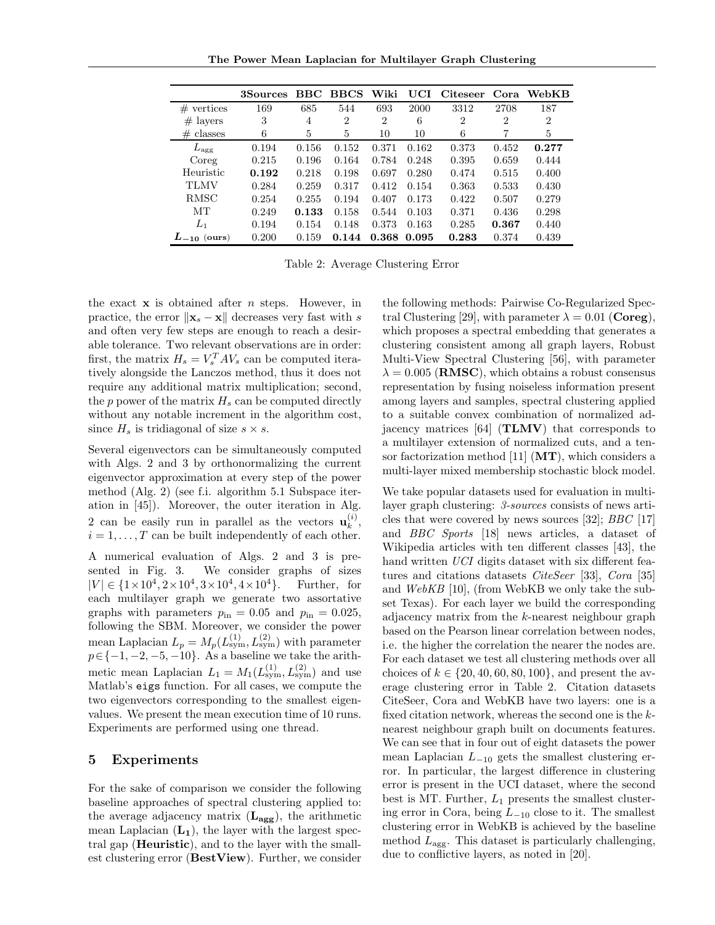The Power Mean Laplacian for Multilayer Graph Clustering

|                  | 3Sources | <b>BBC</b> | <b>BBCS</b>    | Wiki           | UCI   | <b>Citeseer</b> | Cora           | WebKB          |
|------------------|----------|------------|----------------|----------------|-------|-----------------|----------------|----------------|
| #<br>vertices    | 169      | 685        | 544            | 693            | 2000  | 3312            | 2708           | 187            |
| $#$ layers       | 3        | 4          | $\overline{2}$ | $\overline{2}$ | 6     | $\overline{2}$  | $\overline{2}$ | $\overline{2}$ |
| classes<br>#     | 6        | 5          | 5              | 10             | 10    | 6               | 7              | 5              |
| $L_{\rm agg}$    | 0.194    | 0.156      | 0.152          | 0.371          | 0.162 | 0.373           | 0.452          | 0.277          |
| Coreg            | 0.215    | 0.196      | 0.164          | 0.784          | 0.248 | 0.395           | 0.659          | 0.444          |
| Heuristic        | 0.192    | 0.218      | 0.198          | 0.697          | 0.280 | 0.474           | 0.515          | 0.400          |
| TLMV             | 0.284    | 0.259      | 0.317          | 0.412          | 0.154 | 0.363           | 0.533          | 0.430          |
| RMSC             | 0.254    | 0.255      | 0.194          | 0.407          | 0.173 | 0.422           | 0.507          | 0.279          |
| MТ               | 0.249    | 0.133      | 0.158          | 0.544          | 0.103 | 0.371           | 0.436          | 0.298          |
| $L_1$            | 0.194    | 0.154      | 0.148          | 0.373          | 0.163 | 0.285           | 0.367          | 0.440          |
| $L_{-10}$ (ours) | 0.200    | 0.159      | 0.144          | 0.368          | 0.095 | 0.283           | 0.374          | 0.439          |

Table 2: Average Clustering Error

the exact  $x$  is obtained after  $n$  steps. However, in practice, the error  $\|\mathbf{x}_s - \mathbf{x}\|$  decreases very fast with s and often very few steps are enough to reach a desirable tolerance. Two relevant observations are in order: first, the matrix  $H_s = V_s^T A V_s$  can be computed iteratively alongside the Lanczos method, thus it does not require any additional matrix multiplication; second, the p power of the matrix  $H_s$  can be computed directly without any notable increment in the algorithm cost, since  $H_s$  is tridiagonal of size  $s \times s$ .

Several eigenvectors can be simultaneously computed with Algs. 2 and 3 by orthonormalizing the current eigenvector approximation at every step of the power method (Alg. 2) (see f.i. algorithm 5.1 Subspace iteration in [45]). Moreover, the outer iteration in Alg. 2 can be easily run in parallel as the vectors  $\mathbf{u}_k^{(i)}$  $\binom{v}{k}$  $i = 1, \ldots, T$  can be built independently of each other. A numerical evaluation of Algs. 2 and 3 is presented in Fig. 3. We consider graphs of sizes  $|V| \in \{1 \times 10^4, 2 \times 10^4, 3 \times 10^4, 4 \times 10^4\}.$  Further, for each multilayer graph we generate two assortative graphs with parameters  $p_{\text{in}} = 0.05$  and  $p_{\text{in}} = 0.025$ , following the SBM. Moreover, we consider the power mean Laplacian  $L_p = M_p(L_{sym}^{(1)}, L_{sym}^{(2)})$  with parameter  $p \in \{-1, -2, -5, -10\}$ . As a baseline we take the arith-

metic mean Laplacian  $L_1 = M_1(L_{sym}^{(1)}, L_{sym}^{(2)})$  and use Matlab's eigs function. For all cases, we compute the two eigenvectors corresponding to the smallest eigenvalues. We present the mean execution time of 10 runs. Experiments are performed using one thread.

#### 5 Experiments

For the sake of comparison we consider the following baseline approaches of spectral clustering applied to: the average adjacency matrix  $(L_{\text{age}})$ , the arithmetic mean Laplacian  $(L_1)$ , the layer with the largest spectral gap (Heuristic), and to the layer with the smallest clustering error (BestView). Further, we consider

the following methods: Pairwise Co-Regularized Spectral Clustering [29], with parameter  $\lambda = 0.01$  (**Coreg**), which proposes a spectral embedding that generates a clustering consistent among all graph layers, Robust Multi-View Spectral Clustering [56], with parameter  $\lambda = 0.005$  (**RMSC**), which obtains a robust consensus representation by fusing noiseless information present among layers and samples, spectral clustering applied to a suitable convex combination of normalized adjacency matrices [64] (TLMV) that corresponds to a multilayer extension of normalized cuts, and a tensor factorization method [11]  $(MT)$ , which considers a multi-layer mixed membership stochastic block model.

We take popular datasets used for evaluation in multilayer graph clustering: 3-sources consists of news articles that were covered by news sources [32]; BBC [17] and BBC Sports [18] news articles, a dataset of Wikipedia articles with ten different classes [43], the hand written UCI digits dataset with six different features and citations datasets CiteSeer [33], Cora [35] and  $WebKB$  [10], (from WebKB we only take the subset Texas). For each layer we build the corresponding adjacency matrix from the k-nearest neighbour graph based on the Pearson linear correlation between nodes, i.e. the higher the correlation the nearer the nodes are. For each dataset we test all clustering methods over all choices of  $k \in \{20, 40, 60, 80, 100\}$ , and present the average clustering error in Table 2. Citation datasets CiteSeer, Cora and WebKB have two layers: one is a fixed citation network, whereas the second one is the knearest neighbour graph built on documents features. We can see that in four out of eight datasets the power mean Laplacian  $L_{-10}$  gets the smallest clustering error. In particular, the largest difference in clustering error is present in the UCI dataset, where the second best is MT. Further,  $L_1$  presents the smallest clustering error in Cora, being  $L_{-10}$  close to it. The smallest clustering error in WebKB is achieved by the baseline method  $L_{\text{agg}}$ . This dataset is particularly challenging, due to conflictive layers, as noted in [20].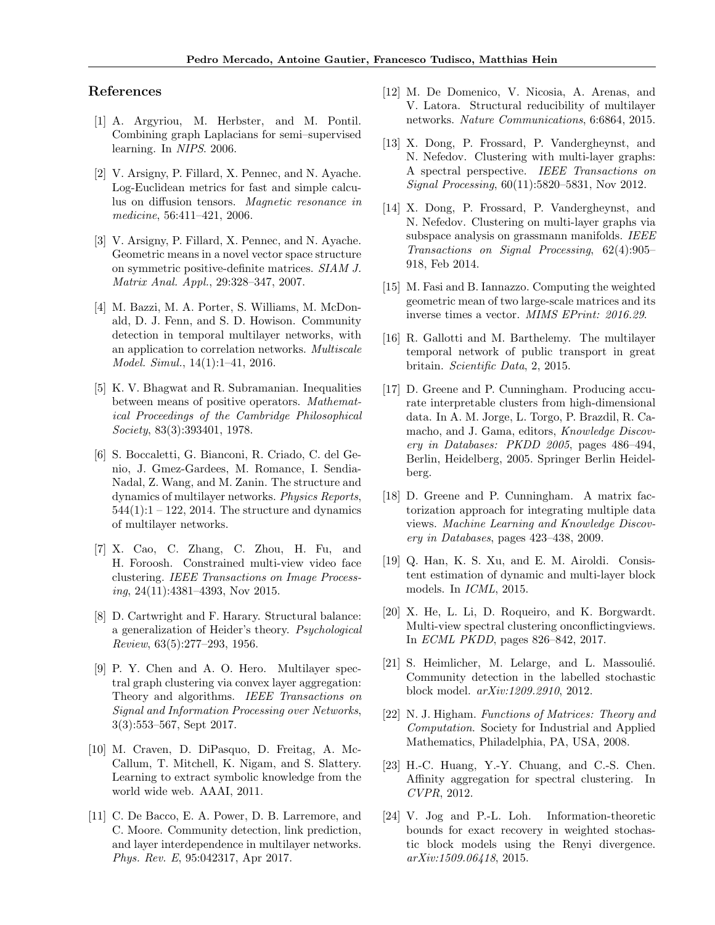#### References

- [1] A. Argyriou, M. Herbster, and M. Pontil. Combining graph Laplacians for semi–supervised learning. In NIPS. 2006.
- [2] V. Arsigny, P. Fillard, X. Pennec, and N. Ayache. Log-Euclidean metrics for fast and simple calculus on diffusion tensors. Magnetic resonance in medicine, 56:411–421, 2006.
- [3] V. Arsigny, P. Fillard, X. Pennec, and N. Ayache. Geometric means in a novel vector space structure on symmetric positive-definite matrices. SIAM J. Matrix Anal. Appl., 29:328–347, 2007.
- [4] M. Bazzi, M. A. Porter, S. Williams, M. McDonald, D. J. Fenn, and S. D. Howison. Community detection in temporal multilayer networks, with an application to correlation networks. Multiscale Model. Simul., 14(1):1–41, 2016.
- [5] K. V. Bhagwat and R. Subramanian. Inequalities between means of positive operators. Mathematical Proceedings of the Cambridge Philosophical Society, 83(3):393401, 1978.
- [6] S. Boccaletti, G. Bianconi, R. Criado, C. del Genio, J. Gmez-Gardees, M. Romance, I. Sendia-Nadal, Z. Wang, and M. Zanin. The structure and dynamics of multilayer networks. Physics Reports,  $544(1):1 - 122$ , 2014. The structure and dynamics of multilayer networks.
- [7] X. Cao, C. Zhang, C. Zhou, H. Fu, and H. Foroosh. Constrained multi-view video face clustering. IEEE Transactions on Image Processing, 24(11):4381–4393, Nov 2015.
- [8] D. Cartwright and F. Harary. Structural balance: a generalization of Heider's theory. Psychological Review, 63(5):277–293, 1956.
- [9] P. Y. Chen and A. O. Hero. Multilayer spectral graph clustering via convex layer aggregation: Theory and algorithms. IEEE Transactions on Signal and Information Processing over Networks, 3(3):553–567, Sept 2017.
- [10] M. Craven, D. DiPasquo, D. Freitag, A. Mc-Callum, T. Mitchell, K. Nigam, and S. Slattery. Learning to extract symbolic knowledge from the world wide web. AAAI, 2011.
- [11] C. De Bacco, E. A. Power, D. B. Larremore, and C. Moore. Community detection, link prediction, and layer interdependence in multilayer networks. Phys. Rev. E, 95:042317, Apr 2017.
- [12] M. De Domenico, V. Nicosia, A. Arenas, and V. Latora. Structural reducibility of multilayer networks. Nature Communications, 6:6864, 2015.
- [13] X. Dong, P. Frossard, P. Vandergheynst, and N. Nefedov. Clustering with multi-layer graphs: A spectral perspective. IEEE Transactions on Signal Processing, 60(11):5820–5831, Nov 2012.
- [14] X. Dong, P. Frossard, P. Vandergheynst, and N. Nefedov. Clustering on multi-layer graphs via subspace analysis on grassmann manifolds. IEEE Transactions on Signal Processing, 62(4):905– 918, Feb 2014.
- [15] M. Fasi and B. Iannazzo. Computing the weighted geometric mean of two large-scale matrices and its inverse times a vector. MIMS EPrint: 2016.29.
- [16] R. Gallotti and M. Barthelemy. The multilayer temporal network of public transport in great britain. Scientific Data, 2, 2015.
- [17] D. Greene and P. Cunningham. Producing accurate interpretable clusters from high-dimensional data. In A. M. Jorge, L. Torgo, P. Brazdil, R. Camacho, and J. Gama, editors, Knowledge Discovery in Databases: PKDD 2005, pages 486–494, Berlin, Heidelberg, 2005. Springer Berlin Heidelberg.
- [18] D. Greene and P. Cunningham. A matrix factorization approach for integrating multiple data views. Machine Learning and Knowledge Discovery in Databases, pages 423–438, 2009.
- [19] Q. Han, K. S. Xu, and E. M. Airoldi. Consistent estimation of dynamic and multi-layer block models. In ICML, 2015.
- [20] X. He, L. Li, D. Roqueiro, and K. Borgwardt. Multi-view spectral clustering onconflictingviews. In ECML PKDD, pages 826–842, 2017.
- [21] S. Heimlicher, M. Lelarge, and L. Massoulié. Community detection in the labelled stochastic block model. arXiv:1209.2910, 2012.
- [22] N. J. Higham. Functions of Matrices: Theory and Computation. Society for Industrial and Applied Mathematics, Philadelphia, PA, USA, 2008.
- [23] H.-C. Huang, Y.-Y. Chuang, and C.-S. Chen. Affinity aggregation for spectral clustering. In CVPR, 2012.
- [24] V. Jog and P.-L. Loh. Information-theoretic bounds for exact recovery in weighted stochastic block models using the Renyi divergence. arXiv:1509.06418, 2015.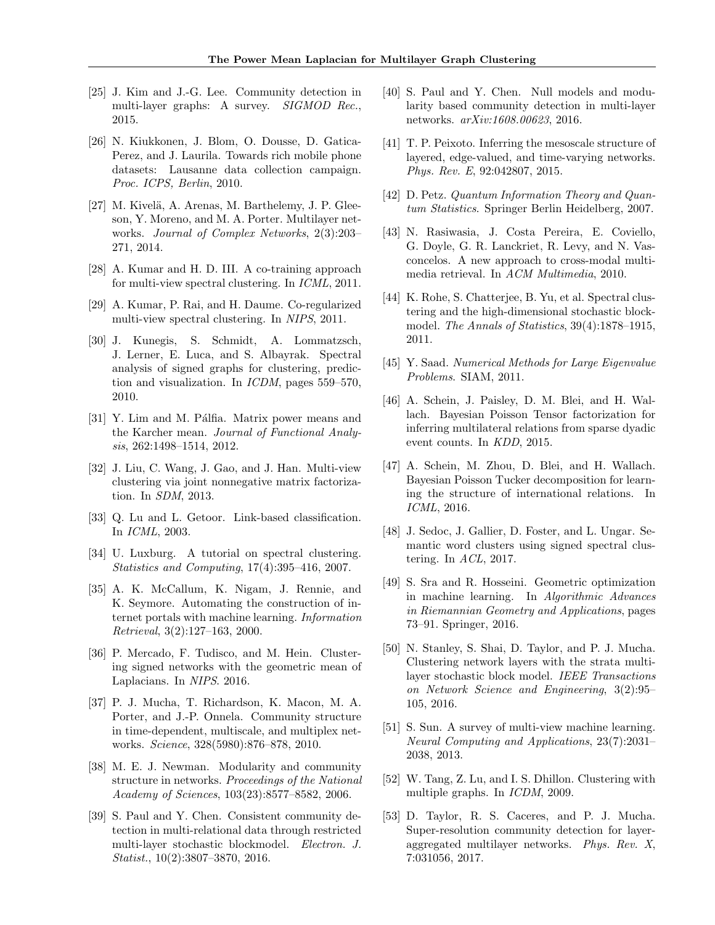- [25] J. Kim and J.-G. Lee. Community detection in multi-layer graphs: A survey. *SIGMOD Rec.*, 2015.
- [26] N. Kiukkonen, J. Blom, O. Dousse, D. Gatica-Perez, and J. Laurila. Towards rich mobile phone datasets: Lausanne data collection campaign. Proc. ICPS, Berlin, 2010.
- [27] M. Kivelä, A. Arenas, M. Barthelemy, J. P. Gleeson, Y. Moreno, and M. A. Porter. Multilayer networks. Journal of Complex Networks, 2(3):203– 271, 2014.
- [28] A. Kumar and H. D. III. A co-training approach for multi-view spectral clustering. In ICML, 2011.
- [29] A. Kumar, P. Rai, and H. Daume. Co-regularized multi-view spectral clustering. In NIPS, 2011.
- [30] J. Kunegis, S. Schmidt, A. Lommatzsch, J. Lerner, E. Luca, and S. Albayrak. Spectral analysis of signed graphs for clustering, prediction and visualization. In ICDM, pages 559–570, 2010.
- [31] Y. Lim and M. Pálfia. Matrix power means and the Karcher mean. Journal of Functional Analysis, 262:1498–1514, 2012.
- [32] J. Liu, C. Wang, J. Gao, and J. Han. Multi-view clustering via joint nonnegative matrix factorization. In SDM, 2013.
- [33] Q. Lu and L. Getoor. Link-based classification. In ICML, 2003.
- [34] U. Luxburg. A tutorial on spectral clustering. Statistics and Computing, 17(4):395–416, 2007.
- [35] A. K. McCallum, K. Nigam, J. Rennie, and K. Seymore. Automating the construction of internet portals with machine learning. Information Retrieval, 3(2):127–163, 2000.
- [36] P. Mercado, F. Tudisco, and M. Hein. Clustering signed networks with the geometric mean of Laplacians. In NIPS. 2016.
- [37] P. J. Mucha, T. Richardson, K. Macon, M. A. Porter, and J.-P. Onnela. Community structure in time-dependent, multiscale, and multiplex networks. Science, 328(5980):876–878, 2010.
- [38] M. E. J. Newman. Modularity and community structure in networks. Proceedings of the National Academy of Sciences, 103(23):8577–8582, 2006.
- [39] S. Paul and Y. Chen. Consistent community detection in multi-relational data through restricted multi-layer stochastic blockmodel. Electron. J. Statist., 10(2):3807–3870, 2016.
- [40] S. Paul and Y. Chen. Null models and modularity based community detection in multi-layer networks. arXiv:1608.00623, 2016.
- [41] T. P. Peixoto. Inferring the mesoscale structure of layered, edge-valued, and time-varying networks. Phys. Rev. E, 92:042807, 2015.
- [42] D. Petz. *Quantum Information Theory and Quan*tum Statistics. Springer Berlin Heidelberg, 2007.
- [43] N. Rasiwasia, J. Costa Pereira, E. Coviello, G. Doyle, G. R. Lanckriet, R. Levy, and N. Vasconcelos. A new approach to cross-modal multimedia retrieval. In ACM Multimedia, 2010.
- [44] K. Rohe, S. Chatterjee, B. Yu, et al. Spectral clustering and the high-dimensional stochastic blockmodel. The Annals of Statistics, 39(4):1878–1915, 2011.
- [45] Y. Saad. Numerical Methods for Large Eigenvalue Problems. SIAM, 2011.
- [46] A. Schein, J. Paisley, D. M. Blei, and H. Wallach. Bayesian Poisson Tensor factorization for inferring multilateral relations from sparse dyadic event counts. In KDD, 2015.
- [47] A. Schein, M. Zhou, D. Blei, and H. Wallach. Bayesian Poisson Tucker decomposition for learning the structure of international relations. In ICML, 2016.
- [48] J. Sedoc, J. Gallier, D. Foster, and L. Ungar. Semantic word clusters using signed spectral clustering. In ACL, 2017.
- [49] S. Sra and R. Hosseini. Geometric optimization in machine learning. In Algorithmic Advances in Riemannian Geometry and Applications, pages 73–91. Springer, 2016.
- [50] N. Stanley, S. Shai, D. Taylor, and P. J. Mucha. Clustering network layers with the strata multilayer stochastic block model. IEEE Transactions on Network Science and Engineering, 3(2):95– 105, 2016.
- [51] S. Sun. A survey of multi-view machine learning. Neural Computing and Applications, 23(7):2031– 2038, 2013.
- [52] W. Tang, Z. Lu, and I. S. Dhillon. Clustering with multiple graphs. In ICDM, 2009.
- [53] D. Taylor, R. S. Caceres, and P. J. Mucha. Super-resolution community detection for layeraggregated multilayer networks. Phys. Rev. X, 7:031056, 2017.